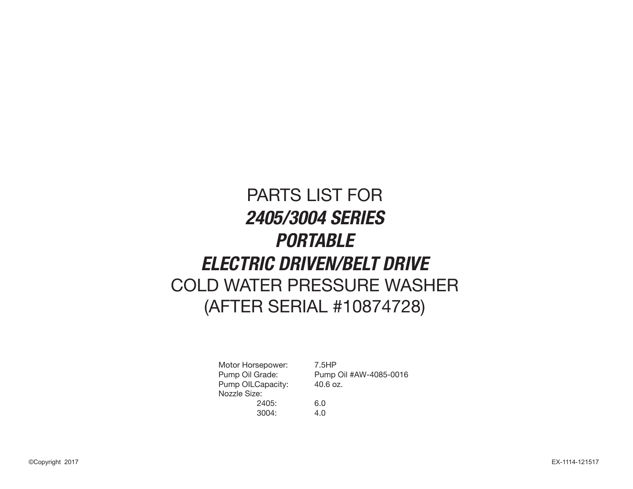# PARTS LIST FOR **2405/3004 SERIES PORTABLE ELECTRIC DRIVEN/BELT DRIVE** COLD WATER PRESSURE WASHER (AFTER SERIAL #10874728)

Motor Horsepower: 7.5HP Pump OILCapacity: 40.6 oz. Nozzle Size: 2405: 6.0 3004: 4.0

Pump Oil Grade: Pump Oil #AW-4085-0016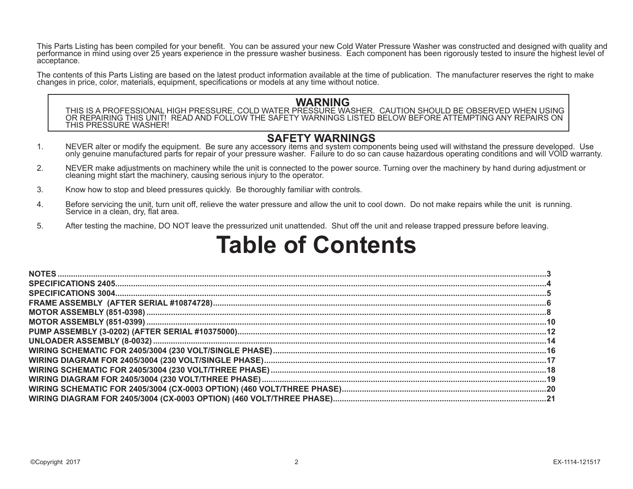This Parts Listing has been compiled for your benefit. You can be assured your new Cold Water Pressure Washer was constructed and designed with quality and performance in mind using over 25 years experience in the pressure washer business. Each component has been rigorously tested to insure the highest level of acceptance.

The contents of this Parts Listing are based on the latest product information available at the time of publication. The manufacturer reserves the right to make changes in price, color, materials, equipment, specifications

 **WARNING** THIS IS A PROFESSIONAL HIGH PRESSURE, COLD WATER PRESSURE WASHER. CAUTION SHOULD BE OBSERVED WHEN USING OR REPAIRING THIS UNIT! READ AND FOLLOW THE SAFETY WARNINGS LISTED BELOW BEFORE ATTEMPTING ANY REPAIRS ON THIS PRESSURE WASHER!

- **SAFETY WARNINGS**<br>1. NEVER alter or modify the equipment. Be sure any accessory items and system components being used will withstand the pressure developed. Use only genuine manufactured parts for repair of your pressure washer. Failure to do so can cause hazardous operating conditions and will VOID warranty.
- 2. NEVER make adjustments on machinery while the unit is connected to the power source. Turning over the machinery by hand during adjustment or cleaning might start the machinery, causing serious injury to the operator.
- 3. Know how to stop and bleed pressures quickly. Be thoroughly familiar with controls.
- 4. Before servicing the unit, turn unit off, relieve the water pressure and allow the unit to cool down. Do not make repairs while the unit is running. Service in a clean, dry, flat area.
- 5. After testing the machine, DO NOT leave the pressurized unit unattended. Shut off the unit and release trapped pressure before leaving.

# **Table of Contents**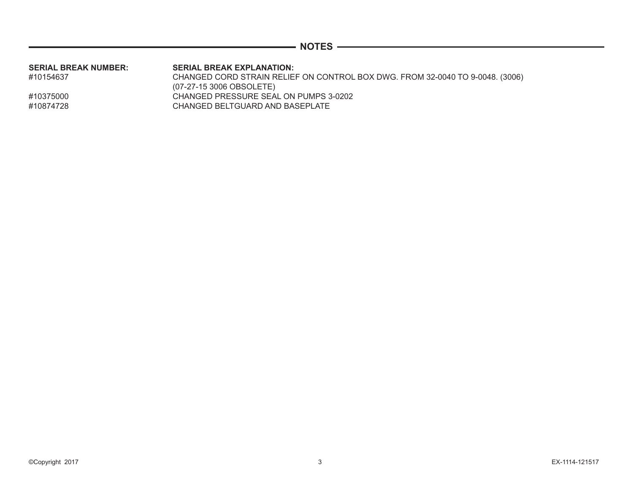|  | v<br>r. |  |
|--|---------|--|
|--|---------|--|

| SERIAL BREAK NUMBER: | <b>SERIAL BREAK EXPLANATION:</b>                                              |
|----------------------|-------------------------------------------------------------------------------|
| #10154637            | CHANGED CORD STRAIN RELIEF ON CONTROL BOX DWG. FROM 32-0040 TO 9-0048. (3006) |
|                      | $(07-27-153006$ OBSOLETE)                                                     |
| #10375000            | CHANGED PRESSURE SEAL ON PUMPS 3-0202                                         |
| #10874728            | CHANGED BELTGUARD AND BASEPLATE                                               |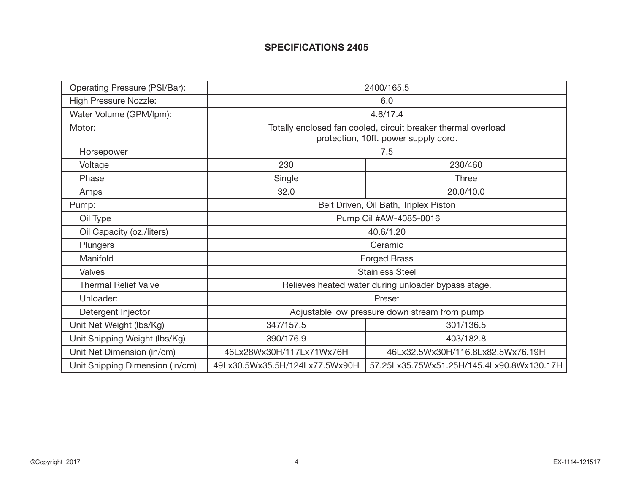# **SPECIFICATIONS 2405**

| Operating Pressure (PSI/Bar):   | 2400/165.5                            |                                                                                                       |  |  |  |
|---------------------------------|---------------------------------------|-------------------------------------------------------------------------------------------------------|--|--|--|
| <b>High Pressure Nozzle:</b>    | 6.0                                   |                                                                                                       |  |  |  |
| Water Volume (GPM/lpm):         |                                       | 4.6/17.4                                                                                              |  |  |  |
| Motor:                          |                                       | Totally enclosed fan cooled, circuit breaker thermal overload<br>protection, 10ft. power supply cord. |  |  |  |
| Horsepower                      |                                       | 7.5                                                                                                   |  |  |  |
| Voltage                         | 230                                   | 230/460                                                                                               |  |  |  |
| Phase                           | Single                                | <b>Three</b>                                                                                          |  |  |  |
| Amps                            | 32.0                                  | 20.0/10.0                                                                                             |  |  |  |
| Pump:                           | Belt Driven, Oil Bath, Triplex Piston |                                                                                                       |  |  |  |
| Oil Type                        | Pump Oil #AW-4085-0016                |                                                                                                       |  |  |  |
| Oil Capacity (oz./liters)       | 40.6/1.20                             |                                                                                                       |  |  |  |
| Plungers                        |                                       | Ceramic                                                                                               |  |  |  |
| Manifold                        |                                       | <b>Forged Brass</b>                                                                                   |  |  |  |
| Valves                          |                                       | <b>Stainless Steel</b>                                                                                |  |  |  |
| <b>Thermal Relief Valve</b>     |                                       | Relieves heated water during unloader bypass stage.                                                   |  |  |  |
| Unloader:                       |                                       | Preset                                                                                                |  |  |  |
| Detergent Injector              |                                       | Adjustable low pressure down stream from pump                                                         |  |  |  |
| Unit Net Weight (lbs/Kg)        | 347/157.5                             | 301/136.5                                                                                             |  |  |  |
| Unit Shipping Weight (lbs/Kg)   | 390/176.9                             | 403/182.8                                                                                             |  |  |  |
| Unit Net Dimension (in/cm)      | 46Lx28Wx30H/117Lx71Wx76H              | 46Lx32.5Wx30H/116.8Lx82.5Wx76.19H                                                                     |  |  |  |
| Unit Shipping Dimension (in/cm) | 49Lx30.5Wx35.5H/124Lx77.5Wx90H        | 57.25Lx35.75Wx51.25H/145.4Lx90.8Wx130.17H                                                             |  |  |  |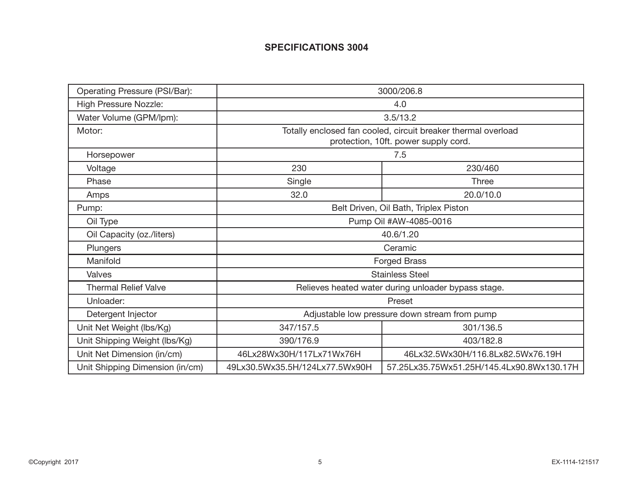# **SPECIFICATIONS 3004**

| Operating Pressure (PSI/Bar):   | 3000/206.8                                                                                            |                                                     |  |  |  |
|---------------------------------|-------------------------------------------------------------------------------------------------------|-----------------------------------------------------|--|--|--|
| <b>High Pressure Nozzle:</b>    | 4.0                                                                                                   |                                                     |  |  |  |
| Water Volume (GPM/lpm):         |                                                                                                       | 3.5/13.2                                            |  |  |  |
| Motor:                          | Totally enclosed fan cooled, circuit breaker thermal overload<br>protection, 10ft. power supply cord. |                                                     |  |  |  |
| Horsepower                      |                                                                                                       | 7.5                                                 |  |  |  |
| Voltage                         | 230                                                                                                   | 230/460                                             |  |  |  |
| Phase                           | Single                                                                                                | Three                                               |  |  |  |
| Amps                            | 32.0                                                                                                  | 20.0/10.0                                           |  |  |  |
| Pump:                           | Belt Driven, Oil Bath, Triplex Piston                                                                 |                                                     |  |  |  |
| Oil Type                        | Pump Oil #AW-4085-0016                                                                                |                                                     |  |  |  |
| Oil Capacity (oz./liters)       | 40.6/1.20                                                                                             |                                                     |  |  |  |
| Plungers                        |                                                                                                       | Ceramic                                             |  |  |  |
| Manifold                        |                                                                                                       | <b>Forged Brass</b>                                 |  |  |  |
| Valves                          |                                                                                                       | <b>Stainless Steel</b>                              |  |  |  |
| <b>Thermal Relief Valve</b>     |                                                                                                       | Relieves heated water during unloader bypass stage. |  |  |  |
| Unloader:                       |                                                                                                       | Preset                                              |  |  |  |
| Detergent Injector              | Adjustable low pressure down stream from pump                                                         |                                                     |  |  |  |
| Unit Net Weight (lbs/Kg)        | 347/157.5                                                                                             | 301/136.5                                           |  |  |  |
| Unit Shipping Weight (lbs/Kg)   | 390/176.9                                                                                             | 403/182.8                                           |  |  |  |
| Unit Net Dimension (in/cm)      | 46Lx28Wx30H/117Lx71Wx76H                                                                              | 46Lx32.5Wx30H/116.8Lx82.5Wx76.19H                   |  |  |  |
| Unit Shipping Dimension (in/cm) | 49Lx30.5Wx35.5H/124Lx77.5Wx90H                                                                        | 57.25Lx35.75Wx51.25H/145.4Lx90.8Wx130.17H           |  |  |  |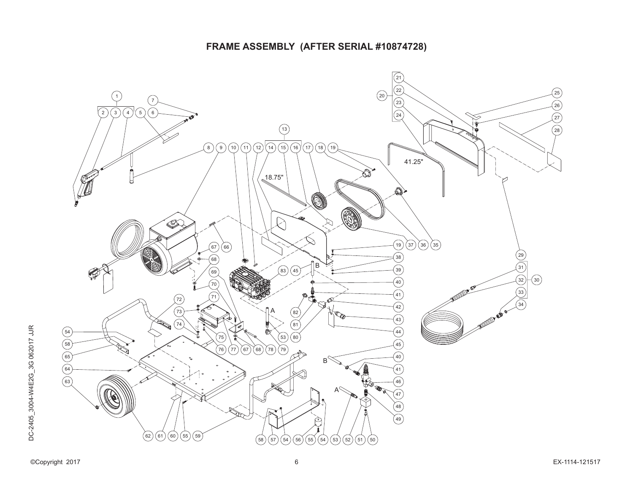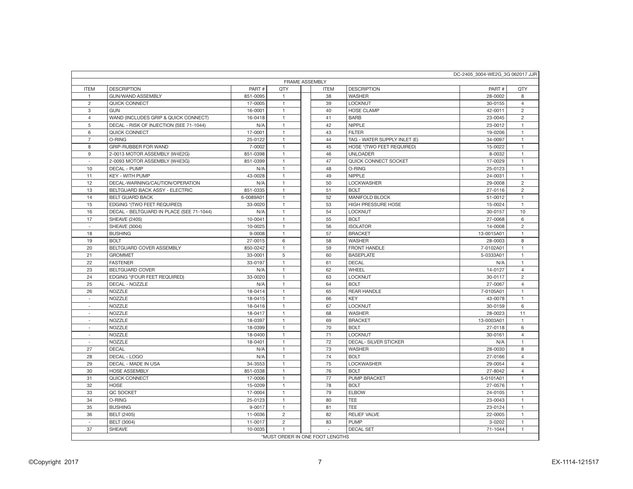| DC-2405 3004-WE2G 3G 062017 JJR |                                          |            |                |  |               |                              |            |                |
|---------------------------------|------------------------------------------|------------|----------------|--|---------------|------------------------------|------------|----------------|
| <b>FRAME ASSEMBLY</b>           |                                          |            |                |  |               |                              |            |                |
| <b>ITEM</b>                     | <b>DESCRIPTION</b>                       | PART#      | <b>QTY</b>     |  | <b>ITEM</b>   | <b>DESCRIPTION</b>           | PART#      | QTY            |
| $\mathbf{1}$                    | <b>GUN/WAND ASSEMBLY</b>                 | 851-0095   | $\mathbf{1}$   |  | 38            | <b>WASHER</b>                | 28-0002    | 8              |
| $\overline{c}$                  | QUICK CONNECT                            | 17-0005    | $\mathbf{1}$   |  | 39            | <b>LOCKNUT</b>               | 30-0155    | $\overline{4}$ |
| 3                               | <b>GUN</b>                               | 16-0001    | $\mathbf{1}$   |  | 40            | <b>HOSE CLAMP</b>            | 42-0011    | $\overline{2}$ |
| $\overline{4}$                  | WAND (INCLUDES GRIP & QUICK CONNECT)     | 16-0418    | $\mathbf{1}$   |  | 41            | <b>BARB</b>                  | 23-0045    | $\overline{2}$ |
| 5                               | DECAL - RISK OF INJECTION (SEE 71-1044)  | N/A        | $\mathbf{1}$   |  | 42            | <b>NIPPLE</b>                | 23-0012    | $\mathbf{1}$   |
| 6                               | QUICK CONNECT                            | 17-0001    | $\mathbf{1}$   |  | 43            | <b>FILTER</b>                | 19-0206    | $\mathbf{1}$   |
| $\overline{7}$                  | O-RING                                   | 25-0122    | $\mathbf{1}$   |  | 44            | TAG - WATER SUPPLY INLET (E) | 34-0097    | $\mathbf{1}$   |
| 8                               | GRIP-RUBBER FOR WAND                     | 7-0002     | $\mathbf{1}$   |  | 45            | HOSE *(TWO FEET REQUIRED)    | 15-0022    | $\mathbf{1}$   |
| 9                               | 2-0013 MOTOR ASSEMBLY (W4E2G)            | 851-0398   | $\mathbf{1}$   |  | 46            | <b>UNLOADER</b>              | 8-0032     | $\mathbf{1}$   |
| $\sim$                          | 2-0093 MOTOR ASSEMBLY (W4E3G)            | 851-0399   | $\mathbf{1}$   |  | 47            | QUICK CONNECT SOCKET         | 17-0029    | $\mathbf{1}$   |
| 10                              | <b>DECAL - PUMP</b>                      | N/A        | $\mathbf{1}$   |  | 48            | O-RING                       | 25-0123    | $\mathbf{1}$   |
| 11                              | <b>KEY - WITH PUMP</b>                   | 43-0028    | $\mathbf{1}$   |  | 49            | <b>NIPPLE</b>                | 24-0031    | $\mathbf{1}$   |
| 12                              | DECAL-WARNING/CAUTION/OPERATION          | N/A        | $\mathbf{1}$   |  | 50            | <b>LOCKWASHER</b>            | 29-0008    | $\overline{c}$ |
| 13                              | BELTGUARD BACK ASSY - ELECTRIC           | 851-0335   | $\mathbf{1}$   |  | 51            | <b>BOLT</b>                  | 27-0116    | $\overline{2}$ |
| 14                              | <b>BELT GUARD BACK</b>                   | 6-0089A01  | $\mathbf{1}$   |  | 52            | MANIFOLD BLOCK               | 51-0012    | $\mathbf{1}$   |
| 15                              | EDGING *(TWO FEET REQUIRED)              | 33-0020    | $\mathbf{1}$   |  | 53            | HIGH PRESSURE HOSE           | 15-0024    | $\mathbf{1}$   |
| 16                              | DECAL - BELTGUARD IN PLACE (SEE 71-1044) | N/A        | $\overline{1}$ |  | 54            | <b>LOCKNUT</b>               | 30-0157    | 10             |
| 17                              | <b>SHEAVE (2405)</b>                     | 10-0041    | $\mathbf{1}$   |  | 55            | <b>BOLT</b>                  | 27-0068    | 6              |
| $\sim$                          | <b>SHEAVE (3004)</b>                     | 10-0025    | $\mathbf{1}$   |  | 56            | <b>ISOLATOR</b>              | 14-0008    | $\overline{2}$ |
| 18                              | <b>BUSHING</b>                           | $9 - 0008$ | $\mathbf{1}$   |  | 57            | <b>BRACKET</b>               | 13-0015A01 | $\mathbf{1}$   |
| 19                              | <b>BOLT</b>                              | 27-0015    | 6              |  | 58            | <b>WASHER</b>                | 28-0003    | 8              |
| 20                              | BELTGUARD COVER ASSEMBLY                 | 850-0242   | $\overline{1}$ |  | 59            | <b>FRONT HANDLE</b>          | 7-0102A01  | $\mathbf{1}$   |
| 21                              | <b>GROMMET</b>                           | 33-0001    | 5              |  | 60            | <b>BASEPLATE</b>             | 5-0333A01  | $\mathbf{1}$   |
| 22                              | <b>FASTENER</b>                          | 33-0197    | $\mathbf{1}$   |  | 61            | <b>DECAL</b>                 | N/A        | $\mathbf{1}$   |
| 23                              | <b>BELTGUARD COVER</b>                   | N/A        | $\mathbf{1}$   |  | 62            | WHEEL                        | 14-0127    | $\overline{4}$ |
| 24                              | EDGING *(FOUR FEET REQUIRED)             | 33-0020    | $\mathbf{1}$   |  | 63            | <b>LOCKNUT</b>               | 30-0117    | $\overline{c}$ |
| 25                              | <b>DECAL - NOZZLE</b>                    | N/A        | $\mathbf{1}$   |  | 64            | <b>BOLT</b>                  | 27-0067    | $\overline{4}$ |
| 26                              | NOZZLE                                   | 18-0414    | $\mathbf{1}$   |  | 65            | <b>REAR HANDLE</b>           | 7-0105A01  | $\mathbf{1}$   |
| $\sim$                          | <b>NOZZLE</b>                            | 18-0415    | $\mathbf{1}$   |  | 66            | <b>KEY</b>                   | 43-0078    | $\mathbf{1}$   |
| $\sim$                          | <b>NOZZLE</b>                            | 18-0416    | $\mathbf{1}$   |  | 67            | LOCKNUT                      | 30-0159    | 6              |
| $\sim$                          | NOZZLE                                   | 18-0417    | $\mathbf{1}$   |  | 68            | <b>WASHER</b>                | 28-0023    | 11             |
| $\sim$                          | <b>NOZZLE</b>                            | 18-0397    | $\mathbf{1}$   |  | 69            | <b>BRACKET</b>               | 13-0003A01 | $\mathbf{1}$   |
| $\sim$                          | NOZZLE                                   | 18-0399    | $\mathbf{1}$   |  | 70            | <b>BOLT</b>                  | 27-0118    | 6              |
| $\sim$                          | <b>NOZZLE</b>                            | 18-0400    | $\mathbf{1}$   |  | 71            | <b>LOCKNUT</b>               | 30-0161    | $\overline{4}$ |
|                                 | <b>NOZZLE</b>                            | 18-0401    | $\mathbf{1}$   |  | 72            | <b>DECAL- SILVER STICKER</b> | N/A        | $\mathbf{1}$   |
| 27                              | <b>DECAL</b>                             | N/A        | $\mathbf{1}$   |  | 73            | <b>WASHER</b>                | 28-0030    | 8              |
| 28                              | DECAL - LOGO                             | N/A        | $\mathbf{1}$   |  | 74            | <b>BOLT</b>                  | 27-0166    | $\overline{4}$ |
| 29                              | DECAL - MADE IN USA                      | 34-3553    | $\mathbf{1}$   |  | 75            | <b>LOCKWASHER</b>            | 29-0054    | $\overline{4}$ |
| 30                              | <b>HOSE ASSEMBLY</b>                     | 851-0338   | $\mathbf{1}$   |  | 76            | <b>BOLT</b>                  | 27-8042    | $\overline{4}$ |
| 31                              | QUICK CONNECT                            | 17-0006    | $\mathbf{1}$   |  | 77            | <b>PUMP BRACKET</b>          | 5-0101A01  | $\mathbf{1}$   |
| 32                              | <b>HOSE</b>                              | 15-0209    | $\mathbf{1}$   |  | 78            | <b>BOLT</b>                  | 27-0576    | $\mathbf{1}$   |
| 33                              | QC SOCKET                                | 17-0004    | $\mathbf{1}$   |  | 79            | <b>ELBOW</b>                 | 24-0105    | $\mathbf{1}$   |
| 34                              | O-RING                                   | 25-0123    | $\mathbf{1}$   |  | 80            | TEE                          | 23-0043    | $\mathbf{1}$   |
| 35                              | <b>BUSHING</b>                           | 9-0017     | $\mathbf{1}$   |  | 81            | <b>TEE</b>                   | 23-0124    | $\mathbf{1}$   |
| 36                              | <b>BELT (2405)</b>                       | 11-0036    | $\overline{2}$ |  | 82            | <b>RELIEF VALVE</b>          | 22-0005    | $\mathbf{1}$   |
| $\sim$                          | <b>BELT (3004)</b>                       | 11-0017    | $\overline{c}$ |  | 83            | <b>PUMP</b>                  | 3-0202     | $\mathbf{1}$   |
| 37                              | <b>SHEAVE</b>                            | 10-0035    | $\mathbf{1}$   |  | $\mathcal{L}$ | <b>DECAL SET</b>             | 71-1044    | $\mathbf{1}$   |
|                                 |                                          |            |                |  |               |                              |            |                |
|                                 | *MUST ORDER IN ONE FOOT LENGTHS          |            |                |  |               |                              |            |                |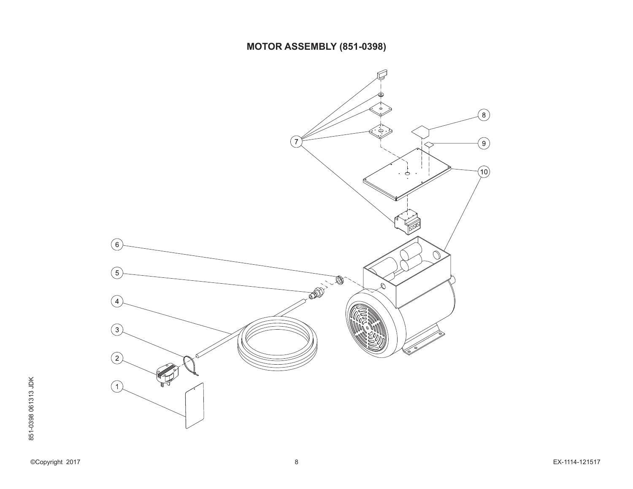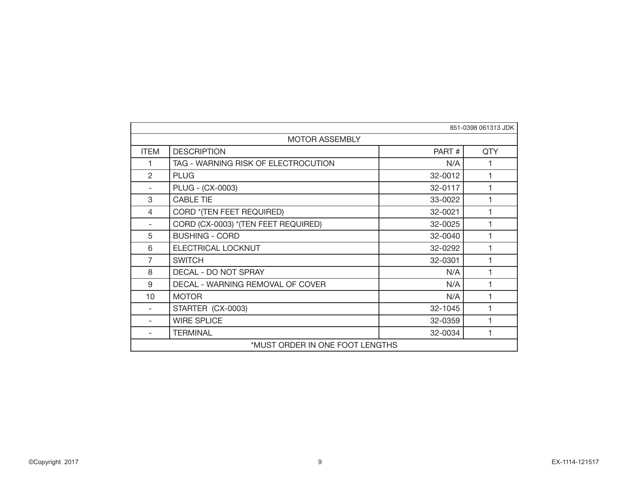|                | 851-0398 061313 JDK                 |         |     |  |  |  |
|----------------|-------------------------------------|---------|-----|--|--|--|
|                | <b>MOTOR ASSEMBLY</b>               |         |     |  |  |  |
| <b>ITEM</b>    | <b>DESCRIPTION</b>                  | PART#   | QTY |  |  |  |
| 1              | TAG - WARNING RISK OF ELECTROCUTION | N/A     |     |  |  |  |
| $\mathfrak{p}$ | <b>PLUG</b>                         | 32-0012 |     |  |  |  |
|                | PLUG - (CX-0003)                    | 32-0117 |     |  |  |  |
| 3              | <b>CABLE TIE</b>                    | 33-0022 |     |  |  |  |
| 4              | CORD *(TEN FEET REQUIRED)           | 32-0021 |     |  |  |  |
|                | CORD (CX-0003) *(TEN FEET REQUIRED) | 32-0025 |     |  |  |  |
| 5              | <b>BUSHING - CORD</b>               | 32-0040 |     |  |  |  |
| 6              | ELECTRICAL LOCKNUT                  | 32-0292 |     |  |  |  |
| 7              | <b>SWITCH</b>                       | 32-0301 |     |  |  |  |
| 8              | DECAL - DO NOT SPRAY                | N/A     |     |  |  |  |
| 9              | DECAL - WARNING REMOVAL OF COVER    | N/A     |     |  |  |  |
| 10             | <b>MOTOR</b>                        | N/A     |     |  |  |  |
|                | STARTER (CX-0003)                   | 32-1045 |     |  |  |  |
|                | <b>WIRE SPLICE</b>                  | 32-0359 |     |  |  |  |
|                | <b>TERMINAL</b>                     | 32-0034 |     |  |  |  |
|                | *MUST ORDER IN ONE FOOT LENGTHS     |         |     |  |  |  |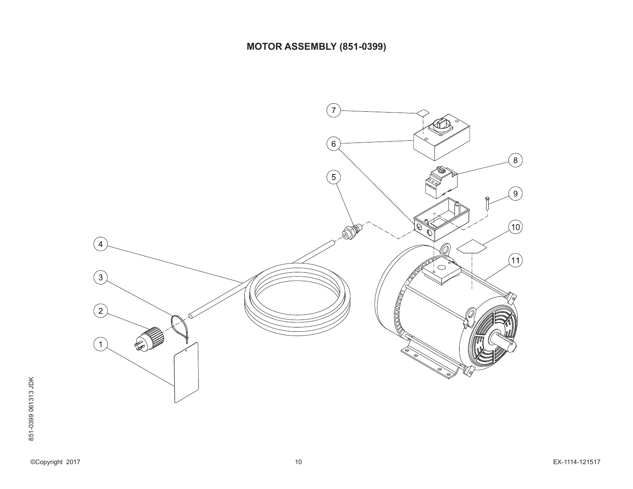# **MOTOR ASSEMBLY (851-0399)**

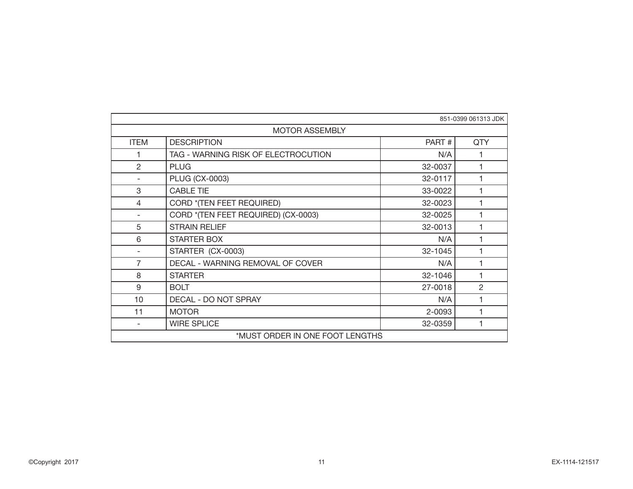| 851-0399 061313 JDK |                                     |         |            |  |  |
|---------------------|-------------------------------------|---------|------------|--|--|
|                     | <b>MOTOR ASSEMBLY</b>               |         |            |  |  |
| <b>ITEM</b>         | <b>DESCRIPTION</b>                  | PART#   | <b>QTY</b> |  |  |
|                     | TAG - WARNING RISK OF ELECTROCUTION | N/A     |            |  |  |
| $\overline{2}$      | <b>PLUG</b>                         | 32-0037 |            |  |  |
|                     | PLUG (CX-0003)                      | 32-0117 |            |  |  |
| 3                   | <b>CABLE TIE</b>                    | 33-0022 |            |  |  |
| 4                   | CORD *(TEN FEET REQUIRED)           | 32-0023 |            |  |  |
|                     | CORD *(TEN FEET REQUIRED) (CX-0003) | 32-0025 |            |  |  |
| 5                   | <b>STRAIN RELIEF</b>                | 32-0013 |            |  |  |
| 6                   | <b>STARTER BOX</b>                  | N/A     |            |  |  |
|                     | STARTER (CX-0003)                   | 32-1045 |            |  |  |
| 7                   | DECAL - WARNING REMOVAL OF COVER    | N/A     |            |  |  |
| 8                   | <b>STARTER</b>                      | 32-1046 |            |  |  |
| 9                   | <b>BOLT</b>                         | 27-0018 | 2          |  |  |
| 10                  | DECAL - DO NOT SPRAY                | N/A     |            |  |  |
| 11                  | <b>MOTOR</b>                        | 2-0093  |            |  |  |
|                     | <b>WIRE SPLICE</b>                  | 32-0359 |            |  |  |
|                     | *MUST ORDER IN ONE FOOT LENGTHS     |         |            |  |  |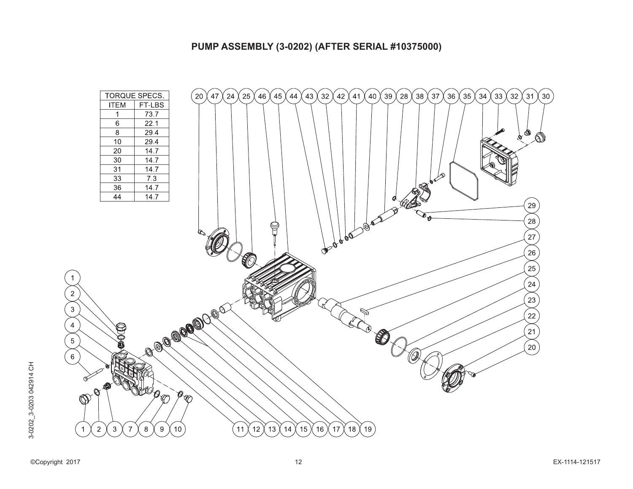#### **PUMP ASSEMBLY (3-0202) (AFTER SERIAL #10375000)**

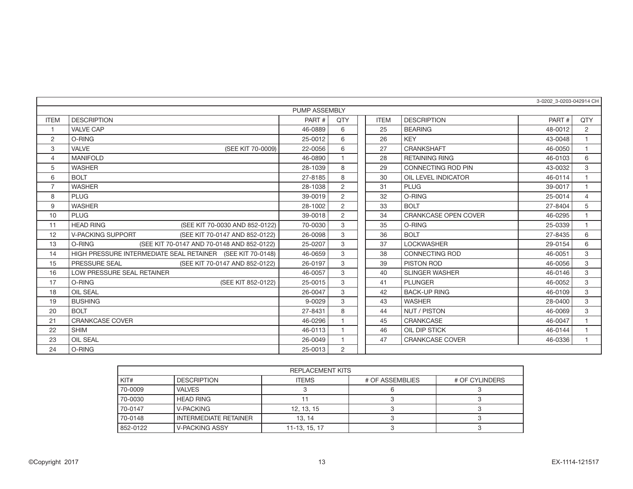|                | 3-0202 3-0203-042914 CH                                    |         |                       |  |             |                             |         |                |
|----------------|------------------------------------------------------------|---------|-----------------------|--|-------------|-----------------------------|---------|----------------|
|                | <b>PUMP ASSEMBLY</b>                                       |         |                       |  |             |                             |         |                |
| <b>ITEM</b>    | <b>DESCRIPTION</b>                                         | PART#   | QTY                   |  | <b>ITEM</b> | <b>DESCRIPTION</b>          | PART#   | <b>OTY</b>     |
| $\overline{1}$ | <b>VALVE CAP</b>                                           | 46-0889 | 6                     |  | 25          | <b>BEARING</b>              | 48-0012 | 2              |
| $\overline{2}$ | O-RING                                                     | 25-0012 | 6                     |  | 26          | <b>KEY</b>                  | 43-0048 | $\overline{1}$ |
| 3              | VALVE<br>(SEE KIT 70-0009)                                 | 22-0056 | 6                     |  | 27          | <b>CRANKSHAFT</b>           | 46-0050 | $\overline{1}$ |
| $\overline{4}$ | <b>MANIFOLD</b>                                            | 46-0890 |                       |  | 28          | <b>RETAINING RING</b>       | 46-0103 | 6              |
| 5              | <b>WASHER</b>                                              | 28-1039 | 8                     |  | 29          | <b>CONNECTING ROD PIN</b>   | 43-0032 | 3              |
| 6              | <b>BOLT</b>                                                | 27-8185 | 8                     |  | 30          | OIL LEVEL INDICATOR         | 46-0114 |                |
| $\overline{7}$ | <b>WASHER</b>                                              | 28-1038 | $\overline{2}$        |  | 31          | <b>PLUG</b>                 | 39-0017 | $\overline{1}$ |
| 8              | <b>PLUG</b>                                                | 39-0019 | $\overline{2}$        |  | 32          | O-RING                      | 25-0014 | $\overline{4}$ |
| 9              | <b>WASHER</b>                                              | 28-1002 | 2                     |  | 33          | <b>BOLT</b>                 | 27-8404 | 5              |
| 10             | <b>PLUG</b>                                                | 39-0018 | $\mathbf{2}^{\prime}$ |  | 34          | <b>CRANKCASE OPEN COVER</b> | 46-0295 |                |
| 11             | <b>HEAD RING</b><br>(SEE KIT 70-0030 AND 852-0122)         | 70-0030 | 3                     |  | 35          | O-RING                      | 25-0339 |                |
| 12             | <b>V-PACKING SUPPORT</b><br>(SEE KIT 70-0147 AND 852-0122) | 26-0098 | 3                     |  | 36          | <b>BOLT</b>                 | 27-8435 | 6              |
| 13             | O-RING<br>(SEE KIT 70-0147 AND 70-0148 AND 852-0122)       | 25-0207 | 3                     |  | 37          | <b>LOCKWASHER</b>           | 29-0154 | 6              |
| 14             | HIGH PRESSURE INTERMEDIATE SEAL RETAINER (SEE KIT 70-0148) | 46-0659 | 3                     |  | 38          | <b>CONNECTING ROD</b>       | 46-0051 | 3              |
| 15             | PRESSURE SEAL<br>(SEE KIT 70-0147 AND 852-0122)            | 26-0197 | 3                     |  | 39          | PISTON ROD                  | 46-0056 | 3              |
| 16             | LOW PRESSURE SEAL RETAINER                                 | 46-0057 | 3                     |  | 40          | <b>SLINGER WASHER</b>       | 46-0146 | 3              |
| 17             | O-RING<br>(SEE KIT 852-0122)                               | 25-0015 | 3                     |  | 41          | <b>PLUNGER</b>              | 46-0052 | 3              |
| 18             | <b>OIL SEAL</b>                                            | 26-0047 | 3                     |  | 42          | <b>BACK-UP RING</b>         | 46-0109 | 3              |
| 19             | <b>BUSHING</b>                                             | 9-0029  | 3                     |  | 43          | <b>WASHER</b>               | 28-0400 | 3              |
| 20             | <b>BOLT</b>                                                | 27-8431 | 8                     |  | 44          | NUT / PISTON                | 46-0069 | 3              |
| 21             | <b>CRANKCASE COVER</b>                                     | 46-0296 |                       |  | 45          | <b>CRANKCASE</b>            | 46-0047 |                |
| 22             | <b>SHIM</b>                                                | 46-0113 |                       |  | 46          | OIL DIP STICK               | 46-0144 | $\overline{1}$ |
| 23             | <b>OIL SEAL</b>                                            | 26-0049 | $\overline{1}$        |  | 47          | <b>CRANKCASE COVER</b>      | 46-0336 | $\overline{1}$ |
| 24             | O-RING                                                     | 25-0013 | $\overline{2}$        |  |             |                             |         |                |

|          | REPLACEMENT KITS      |               |                 |                |  |  |  |
|----------|-----------------------|---------------|-----------------|----------------|--|--|--|
| KIT#     | <b>DESCRIPTION</b>    | <b>ITEMS</b>  | # OF ASSEMBLIES | # OF CYLINDERS |  |  |  |
| 70-0009  | <b>VALVES</b>         |               |                 |                |  |  |  |
| 70-0030  | <b>HEAD RING</b>      |               |                 |                |  |  |  |
| 70-0147  | <b>V-PACKING</b>      | 12.13.15      |                 |                |  |  |  |
| 70-0148  | INTERMEDIATE RETAINER | 13.14         |                 |                |  |  |  |
| 852-0122 | V-PACKING ASSY        | 11-13, 15, 17 |                 |                |  |  |  |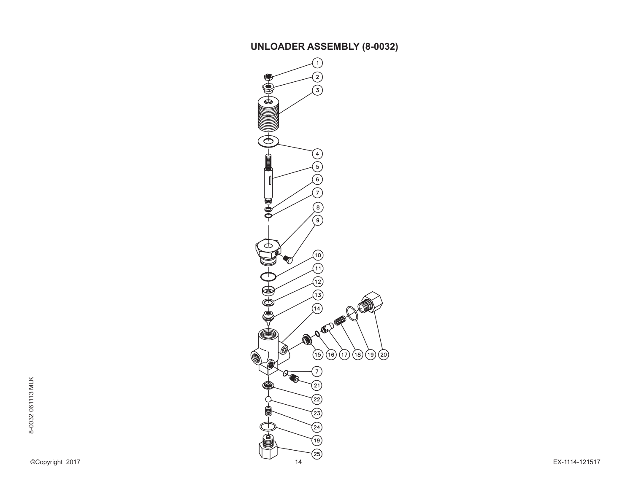# **UNLOADER ASSEMBLY (8-0032)**

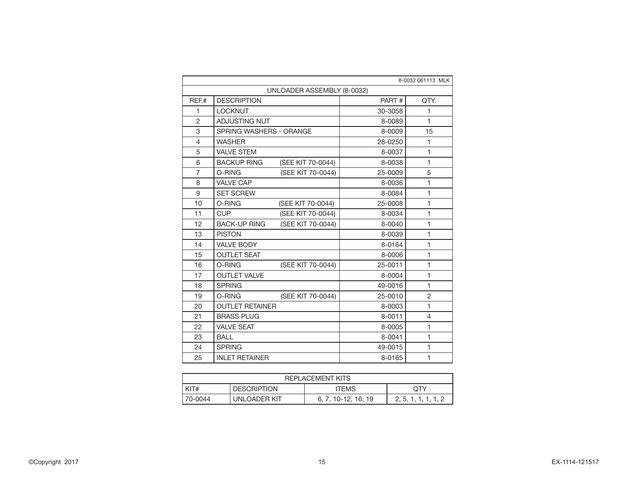|                | 8-0032 061113 MLK                        |         |                |  |  |  |  |
|----------------|------------------------------------------|---------|----------------|--|--|--|--|
|                | UNLOADER ASSEMBLY (8-0032)               |         |                |  |  |  |  |
| REF.#          | <b>DESCRIPTION</b>                       | PART#   | QTY.           |  |  |  |  |
| 1              | <b>LOCKNUT</b>                           | 30-3058 | 1              |  |  |  |  |
| $\overline{2}$ | ADJUSTING NUT                            | 8-0089  | 1              |  |  |  |  |
| 3              | SPRING WASHERS - ORANGE                  | 8-0009  | 15             |  |  |  |  |
| 4              | <b>WASHER</b>                            | 28-0250 | 1              |  |  |  |  |
| 5              | <b>VALVE STEM</b>                        | 8-0037  | 1              |  |  |  |  |
| 6              | <b>BACKUP RING</b><br>(SEE KIT 70-0044)  | 8-0038  | 1              |  |  |  |  |
| $\overline{7}$ | O-RING<br>(SEE KIT 70-0044)              | 25-0009 | 5              |  |  |  |  |
| 8              | <b>VALVE CAP</b>                         | 8-0036  | 1              |  |  |  |  |
| 9              | <b>SET SCREW</b>                         | 8-0084  | $\mathbf{1}$   |  |  |  |  |
| 10             | (SEE KIT 70-0044)<br>O-RING              | 25-0008 | $\mathbf{1}$   |  |  |  |  |
| 11             | (SEE KIT 70-0044)<br><b>CUP</b>          | 8-0034  | 1              |  |  |  |  |
| 12             | (SEE KIT 70-0044)<br><b>BACK-UP RING</b> | 8-0040  | $\mathbf{1}$   |  |  |  |  |
| 13             | <b>PISTON</b>                            | 8-0039  | $\mathbf{1}$   |  |  |  |  |
| 14             | <b>VALVE BODY</b>                        | 8-0164  | 1              |  |  |  |  |
| 15             | <b>OUTLET SEAT</b>                       | 8-0006  | 1              |  |  |  |  |
| 16             | O-RING<br>(SEE KIT 70-0044)              | 25-0011 | $\mathbf{1}$   |  |  |  |  |
| 17             | <b>OUTLET VALVE</b>                      | 8-0004  | 1              |  |  |  |  |
| 18             | <b>SPRING</b>                            | 49-0016 | 1              |  |  |  |  |
| 19             | O-RING<br>(SEE KIT 70-0044)              | 25-0010 | $\overline{2}$ |  |  |  |  |
| 20             | <b>OUTLET RETAINER</b>                   | 8-0003  | 1              |  |  |  |  |
| 21             | <b>BRASS PLUG</b>                        | 8-0011  | 4              |  |  |  |  |
| 22             | <b>VALVE SEAT</b>                        | 8-0005  | 1              |  |  |  |  |
| 23             | <b>BALL</b>                              | 8-0041  | $\mathbf{1}$   |  |  |  |  |
| 24             | <b>SPRING</b>                            | 49-0015 | $\mathbf{1}$   |  |  |  |  |
| 25             | <b>INLET RETAINER</b>                    | 8-0165  | 1              |  |  |  |  |

| <b>REPLACEMENT KITS</b>                                                 |  |  |  |  |  |  |
|-------------------------------------------------------------------------|--|--|--|--|--|--|
| KIT#<br><b>DESCRIPTION</b><br><b>ITEMS</b><br>OTY                       |  |  |  |  |  |  |
| UNLOADER KIT<br>l 70-0044<br>6, 7, 10-12, 16, 19<br>2, 5, 1, 1, 1, 1, 2 |  |  |  |  |  |  |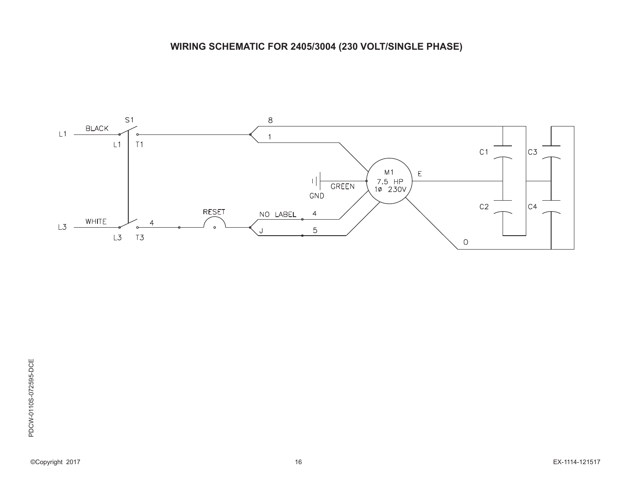# **WIRING SCHEMATIC FOR 2405/3004 (230 VOLT/SINGLE PHASE)**

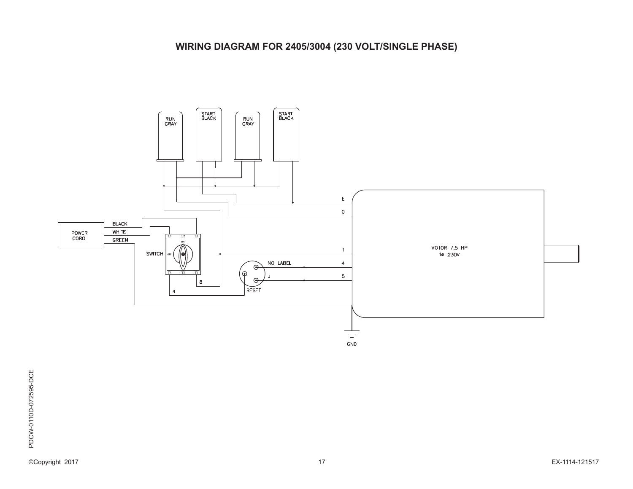# **WIRING DIAGRAM FOR 2405/3004 (230 VOLT/SINGLE PHASE)**

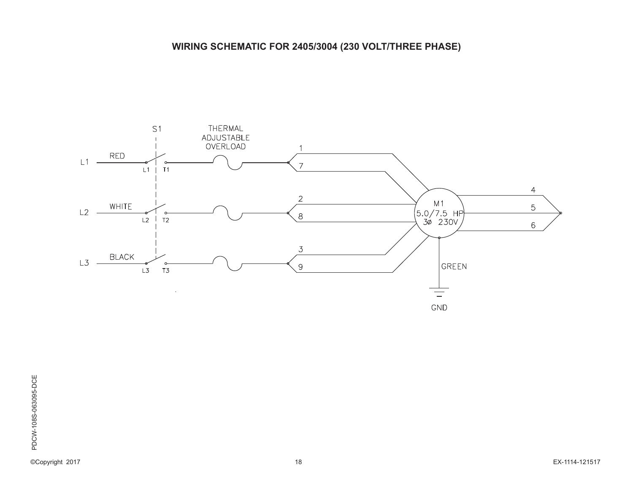# **WIRING SCHEMATIC FOR 2405/3004 (230 VOLT/THREE PHASE)**

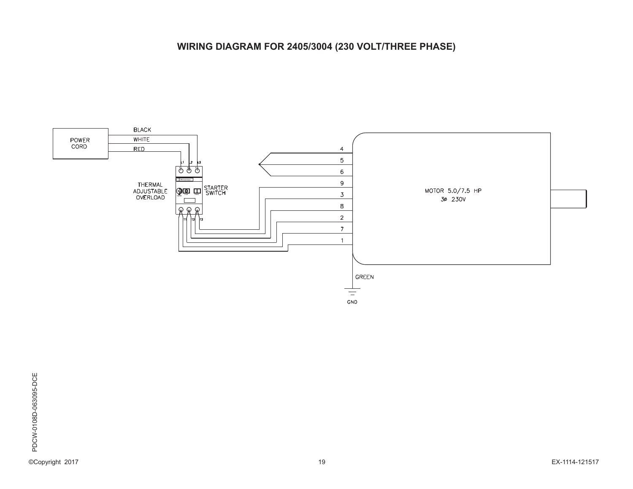# **WIRING DIAGRAM FOR 2405/3004 (230 VOLT/THREE PHASE)**

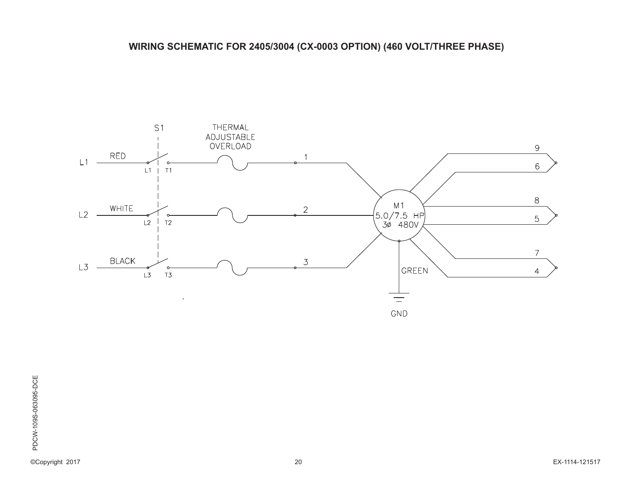# **WIRING SCHEMATIC FOR 2405/3004 (CX-0003 OPTION) (460 VOLT/THREE PHASE)**